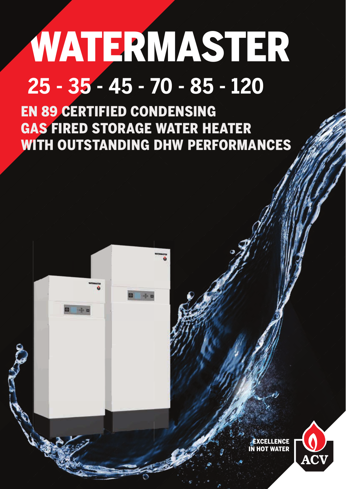## WATERMASTER **25 - 35 - 45 - 70 - 85 - 120**

EN 89 CERTIFIED CONDENSING GAS FIRED STORAGE WATER HEATER WITH OUTSTANDING DHW PERFORMANCES



÷ o